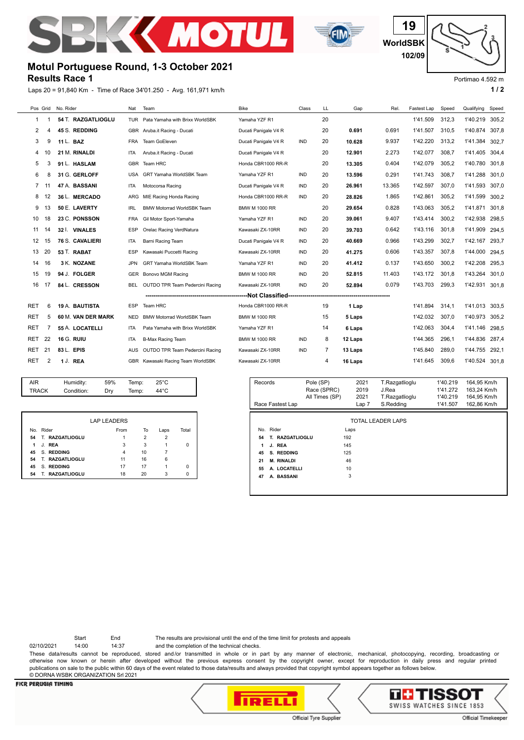



**WorldSBK 19 102/09**

# **Results Race 1 Motul Portuguese Round, 1-3 October 2021**

| Results Race 1<br>Portimao 4.592 m |                |                        |            |                                                                  |                                    |            |    |         |        |             |       |            |       |
|------------------------------------|----------------|------------------------|------------|------------------------------------------------------------------|------------------------------------|------------|----|---------|--------|-------------|-------|------------|-------|
|                                    |                |                        |            | Laps 20 = 91,840 Km - Time of Race 34'01.250 - Avg. 161,971 km/h |                                    |            |    |         |        |             |       |            | 1/2   |
|                                    | Pos Grid       | No. Rider              | Nat        | Team                                                             | <b>Bike</b>                        | Class      | LL | Gap     | Rel.   | Fastest Lap | Speed | Qualifying | Speed |
| 1                                  |                | 54 T. RAZGATLIOGLU     |            | TUR Pata Yamaha with Brixx WorldSBK                              | Yamaha YZF R1                      |            | 20 |         |        | 1'41.509    | 312.3 | 1'40.219   | 305,2 |
| 2                                  |                | 45 S. REDDING          |            | GBR Aruba.it Racing - Ducati                                     | Ducati Panigale V4 R               |            | 20 | 0.691   | 0.691  | 1'41.507    | 310.5 | 1'40.874   | 307,8 |
| 3                                  | 9              | 11 L. BAZ              | <b>FRA</b> | Team GoEleven                                                    | Ducati Panigale V4 R               | <b>IND</b> | 20 | 10.628  | 9.937  | 1'42.220    | 313.2 | 1'41.384   | 302,7 |
| 4                                  | 10             | 21 M. RINALDI          | <b>ITA</b> | Aruba.it Racing - Ducati                                         | Ducati Panigale V4 R               |            | 20 | 12.901  | 2.273  | 1'42.077    | 308,7 | 1'41.405   | 304,4 |
| 5                                  | 3              | 91 L. HASLAM           | <b>GBR</b> | Team HRC                                                         | Honda CBR1000 RR-R                 |            | 20 | 13.305  | 0.404  | 1'42.079    | 305,2 | 1'40.780   | 301,8 |
| 6                                  | 8              | 31 G. GERLOFF          | <b>USA</b> | GRT Yamaha WorldSBK Team                                         | Yamaha YZF R1                      | IND        | 20 | 13.596  | 0.291  | 1'41.743    | 308,7 | 1'41.288   | 301,0 |
| 7                                  | 11             | 47 A. BASSANI          | <b>ITA</b> | Motocorsa Racing                                                 | Ducati Panigale V4 R               | <b>IND</b> | 20 | 26.961  | 13.365 | 1'42.597    | 307.0 | 1'41.593   | 307,0 |
| 8                                  | 12             | 36 L. MERCADO          | ARG        | MIE Racing Honda Racing                                          | Honda CBR1000 RR-R                 | <b>IND</b> | 20 | 28.826  | 1.865  | 1'42.861    | 305,2 | 1'41.599   | 300,2 |
| 9                                  | 13             | 50 E. LAVERTY          | <b>IRL</b> | <b>BMW Motorrad WorldSBK Team</b>                                | <b>BMW M 1000 RR</b>               |            | 20 | 29.654  | 0.828  | 1'43.063    | 305,2 | 1'41.871   | 301,8 |
| 10                                 | 18             | 23 C. PONSSON          | <b>FRA</b> | Gil Motor Sport-Yamaha                                           | Yamaha YZF R1                      | <b>IND</b> | 20 | 39.061  | 9.407  | 1'43.414    | 300.2 | 1'42.938   | 298,5 |
| 11                                 | 14             | 32 I. VINALES          | <b>ESP</b> | Orelac Racing VerdNatura                                         | Kawasaki ZX-10RR                   | <b>IND</b> | 20 | 39.703  | 0.642  | 1'43.116    | 301.8 | 1'41.909   | 294,5 |
| 12                                 | 15             | <b>76 S. CAVALIERI</b> | <b>ITA</b> | Barni Racing Team                                                | Ducati Panigale V4 R               | <b>IND</b> | 20 | 40.669  | 0.966  | 1'43.299    | 302,7 | 1'42.167   | 293.7 |
| 13                                 | 20             | 53 T. RABAT            | <b>ESP</b> | Kawasaki Puccetti Racing                                         | Kawasaki ZX-10RR                   | <b>IND</b> | 20 | 41.275  | 0.606  | 1'43.357    | 307.8 | 1'44.000   | 294,5 |
| 14                                 | 16             | 3 K. NOZANE            | <b>JPN</b> | <b>GRT Yamaha WorldSBK Team</b>                                  | Yamaha YZF R1                      | <b>IND</b> | 20 | 41.412  | 0.137  | 1'43.650    | 300.2 | 1'42.208   | 295,3 |
| 15                                 | 19             | 94 J. FOLGER           | <b>GER</b> | Bonovo MGM Racing                                                | <b>BMW M 1000 RR</b>               | <b>IND</b> | 20 | 52.815  | 11.403 | 1'43.172    | 301.8 | 1'43.264   | 301.0 |
| 16                                 | 17             | 84 L. CRESSON          | BEL        | OUTDO TPR Team Pedercini Racing                                  | Kawasaki ZX-10RR                   | <b>IND</b> | 20 | 52.894  | 0.079  | 1'43.703    | 299,3 | 1'42.931   | 301,8 |
|                                    |                |                        |            |                                                                  | ------Not Classified-------------- |            |    |         |        |             |       |            |       |
| RET                                | 6              | 19 A. BAUTISTA         | <b>ESP</b> | Team HRC                                                         | Honda CBR1000 RR-R                 |            | 19 | 1 Lap   |        | 1'41.894    | 314.1 | 1'41.013   | 303,5 |
| RET                                | 5              | 60 M. VAN DER MARK     | <b>NED</b> | <b>BMW Motorrad WorldSBK Team</b>                                | <b>BMW M 1000 RR</b>               |            | 15 | 5 Laps  |        | 1'42.032    | 307,0 | 1'40.973   | 305,2 |
| RET                                | 7              | 55 A. LOCATELLI        | <b>ITA</b> | Pata Yamaha with Brixx WorldSBK                                  | Yamaha YZF R1                      |            | 14 | 6 Laps  |        | 1'42.063    | 304.4 | 1'41.146   | 298,5 |
| RET                                | 22             | <b>16 G. RUIU</b>      | ITA        | <b>B-Max Racing Team</b>                                         | <b>BMW M 1000 RR</b>               | IND        | 8  | 12 Laps |        | 1'44.365    | 296.1 | 1'44.836   | 287,4 |
| RET                                | 21             | 83 L. EPIS             | AUS        | OUTDO TPR Team Pedercini Racing                                  | Kawasaki ZX-10RR                   | <b>IND</b> | 7  | 13 Laps |        | 1'45.840    | 289,0 | 1'44.755   | 292,1 |
| RET                                | $\overline{2}$ | 1 J. REA               |            | GBR Kawasaki Racing Team WorldSBK                                | Kawasaki ZX-10RR                   |            | 4  | 16 Laps |        | 1'41.645    | 309.6 | 1'40.524   | 301,8 |

| AIR          | Humidity:  | 59% | Temp: | $25^{\circ}$ C |
|--------------|------------|-----|-------|----------------|
| <b>TRACK</b> | Condition: | Drv | Temp: | 44°C           |

|    |                           | <b>LAP LEADERS</b> |    |      |       |
|----|---------------------------|--------------------|----|------|-------|
|    | No. Rider                 | From               | To | Laps | Total |
| 54 | T. RAZGATLIOGLU           |                    | 2  | 2    |       |
| 1  | J. REA                    | 3                  | 3  |      | 0     |
| 45 | S. REDDING                | 4                  | 10 |      |       |
| 54 | T. RAZGATLIOGLU           | 11                 | 16 | 6    |       |
| 45 | S. REDDING                | 17                 | 17 |      | 0     |
| 54 | <b>RAZGATLIOGLU</b><br>т. | 18                 | 20 | 3    | 0     |

| Records                 | Pole (SP)<br>2021<br>2019 |       | T.Razgatlioglu<br>J.Rea | 1'40.219<br>1'41.272 | 164,95 Km/h<br>163,24 Km/h |  |  |  |  |
|-------------------------|---------------------------|-------|-------------------------|----------------------|----------------------------|--|--|--|--|
|                         | Race (SPRC)               |       |                         |                      |                            |  |  |  |  |
|                         | All Times (SP)            | 2021  | T.Razgatlioglu          | 1'40.219             | 164,95 Km/h                |  |  |  |  |
| Race Fastest Lap        |                           | Lap 7 | S.Redding               | 1'41.507             | 162,86 Km/h                |  |  |  |  |
|                         |                           |       |                         |                      |                            |  |  |  |  |
| TOTAL LEADER LAPS       |                           |       |                         |                      |                            |  |  |  |  |
| Rider<br>No.            |                           | Laps  |                         |                      |                            |  |  |  |  |
| T. RAZGATLIOGLU<br>54   | 192                       |       |                         |                      |                            |  |  |  |  |
| J. REA<br>1             | 145                       |       |                         |                      |                            |  |  |  |  |
| S. REDDING<br>45        | 125                       |       |                         |                      |                            |  |  |  |  |
| <b>M. RINALDI</b><br>21 |                           | 46    |                         |                      |                            |  |  |  |  |
| 55<br>A. LOCATELLI      |                           | 10    |                         |                      |                            |  |  |  |  |
| 47<br>A. BASSANI        |                           | 3     |                         |                      |                            |  |  |  |  |
|                         |                           |       |                         |                      |                            |  |  |  |  |
|                         |                           |       |                         |                      |                            |  |  |  |  |

Start End The results are provisional until the end of the time limit for protests and appeals

02/10/2021 14:00 14:37 and the completion of the technical checks.

These data/results cannot be reproduced, stored and/or transmitted in whole or in part by any manner of electronic, mechanical, photocopying, recording, broadcasting or otherwise now known or herein after developed without the previous express consent by the copyright owner, except for reproduction in daily press and regular printed publications on sale to the public within 60 days of the event related to those data/results and always provided that copyright symbol appears together as follows below. © DORNA WSBK ORGANIZATION Srl 2021

### **FICR PERUGIA TIMING**